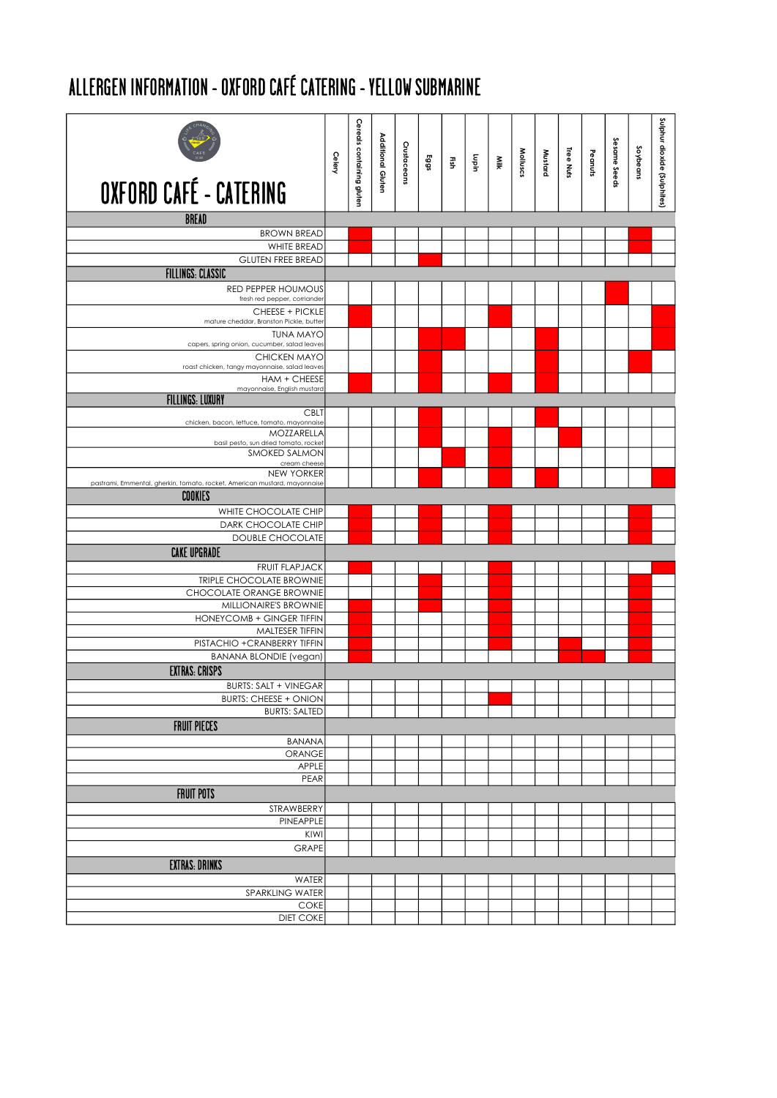## ALLERGEN INFORMATION - OXFORD CAFÉ CATERING - YELLOW SUBMARINE

| OXFORD CAFÉ - CATERING                                                               | Celery | Cereals containing gluten | Additional Gluten | Crustaceans | Eggs | 뜵 | Lupin | Ñik | Molluscs | Mustard | Tree Nuts | Peanuts | Sesame Seeds | Soybeans | Sulphur dioxide (Sulphites) |
|--------------------------------------------------------------------------------------|--------|---------------------------|-------------------|-------------|------|---|-------|-----|----------|---------|-----------|---------|--------------|----------|-----------------------------|
|                                                                                      |        |                           |                   |             |      |   |       |     |          |         |           |         |              |          |                             |
| <b>BREAD</b>                                                                         |        |                           |                   |             |      |   |       |     |          |         |           |         |              |          |                             |
| <b>BROWN BREAD</b>                                                                   |        |                           |                   |             |      |   |       |     |          |         |           |         |              |          |                             |
| WHITE BREAD                                                                          |        |                           |                   |             |      |   |       |     |          |         |           |         |              |          |                             |
| <b>GLUTEN FREE BREAD</b>                                                             |        |                           |                   |             |      |   |       |     |          |         |           |         |              |          |                             |
| <b>FILLINGS: CLASSIC</b>                                                             |        |                           |                   |             |      |   |       |     |          |         |           |         |              |          |                             |
| RED PEPPER HOUMOUS                                                                   |        |                           |                   |             |      |   |       |     |          |         |           |         |              |          |                             |
| fresh red pepper, corriander                                                         |        |                           |                   |             |      |   |       |     |          |         |           |         |              |          |                             |
| CHEESE + PICKLE<br>mature cheddar, Branston Pickle, butter                           |        |                           |                   |             |      |   |       |     |          |         |           |         |              |          |                             |
| <b>TUNA MAYO</b>                                                                     |        |                           |                   |             |      |   |       |     |          |         |           |         |              |          |                             |
| capers, spring onion, cucumber, salad leaves                                         |        |                           |                   |             |      |   |       |     |          |         |           |         |              |          |                             |
| CHICKEN MAYO                                                                         |        |                           |                   |             |      |   |       |     |          |         |           |         |              |          |                             |
| roast chicken, tangy mayonnaise, salad leaves<br>HAM + CHEESE                        |        |                           |                   |             |      |   |       |     |          |         |           |         |              |          |                             |
| mayonnaise, English mustard                                                          |        |                           |                   |             |      |   |       |     |          |         |           |         |              |          |                             |
| <b>FILLINGS: LUXURY</b>                                                              |        |                           |                   |             |      |   |       |     |          |         |           |         |              |          |                             |
| <b>CBLT</b><br>chicken, bacon, lettuce, tomato, mayonnaise                           |        |                           |                   |             |      |   |       |     |          |         |           |         |              |          |                             |
| MOZZARELLA                                                                           |        |                           |                   |             |      |   |       |     |          |         |           |         |              |          |                             |
| basil pesto, sun dried tomato, rocket<br><b>SMOKED SALMON</b>                        |        |                           |                   |             |      |   |       |     |          |         |           |         |              |          |                             |
| cream cheese                                                                         |        |                           |                   |             |      |   |       |     |          |         |           |         |              |          |                             |
| <b>NEW YORKER</b>                                                                    |        |                           |                   |             |      |   |       |     |          |         |           |         |              |          |                             |
| pastrami, Emmental, gherkin, tomato, rocket, American mustard, mayonnaise<br>COOKIES |        |                           |                   |             |      |   |       |     |          |         |           |         |              |          |                             |
|                                                                                      |        |                           |                   |             |      |   |       |     |          |         |           |         |              |          |                             |
| WHITE CHOCOLATE CHIP<br>DARK CHOCOLATE CHIP                                          |        |                           |                   |             |      |   |       |     |          |         |           |         |              |          |                             |
| DOUBLE CHOCOLATE                                                                     |        |                           |                   |             |      |   |       |     |          |         |           |         |              |          |                             |
| <b>CAKE UPGRADE</b>                                                                  |        |                           |                   |             |      |   |       |     |          |         |           |         |              |          |                             |
| <b>FRUIT FLAPJACK</b>                                                                |        |                           |                   |             |      |   |       |     |          |         |           |         |              |          |                             |
| <b>TRIPLE CHOCOLATE BROWNIE</b>                                                      |        |                           |                   |             |      |   |       |     |          |         |           |         |              |          |                             |
| CHOCOLATE ORANGE BROWNIE                                                             |        |                           |                   |             |      |   |       |     |          |         |           |         |              |          |                             |
| MILLIONAIRE'S BROWNIE                                                                |        |                           |                   |             |      |   |       |     |          |         |           |         |              |          |                             |
| <b>HONEYCOMB + GINGER TIFFIN</b>                                                     |        |                           |                   |             |      |   |       |     |          |         |           |         |              |          |                             |
| MALTESER TIFFIN                                                                      |        |                           |                   |             |      |   |       |     |          |         |           |         |              |          |                             |
| PISTACHIO + CRANBERRY TIFFIN<br><b>BANANA BLONDIE</b> (vegan)                        |        |                           |                   |             |      |   |       |     |          |         |           |         |              |          |                             |
| <b>EXTRAS: CRISPS</b>                                                                |        |                           |                   |             |      |   |       |     |          |         |           |         |              |          |                             |
| <b>BURTS: SALT + VINEGAR</b>                                                         |        |                           |                   |             |      |   |       |     |          |         |           |         |              |          |                             |
| <b>BURTS: CHEESE + ONION</b>                                                         |        |                           |                   |             |      |   |       |     |          |         |           |         |              |          |                             |
| <b>BURTS: SALTED</b>                                                                 |        |                           |                   |             |      |   |       |     |          |         |           |         |              |          |                             |
| <b>FRUIT PIECES</b>                                                                  |        |                           |                   |             |      |   |       |     |          |         |           |         |              |          |                             |
| <b>BANANA</b>                                                                        |        |                           |                   |             |      |   |       |     |          |         |           |         |              |          |                             |
| ORANGE                                                                               |        |                           |                   |             |      |   |       |     |          |         |           |         |              |          |                             |
| <b>APPLE</b>                                                                         |        |                           |                   |             |      |   |       |     |          |         |           |         |              |          |                             |
| PEAR                                                                                 |        |                           |                   |             |      |   |       |     |          |         |           |         |              |          |                             |
| <b>FRUIT POTS</b>                                                                    |        |                           |                   |             |      |   |       |     |          |         |           |         |              |          |                             |
| STRAWBERRY                                                                           |        |                           |                   |             |      |   |       |     |          |         |           |         |              |          |                             |
| PINEAPPLE                                                                            |        |                           |                   |             |      |   |       |     |          |         |           |         |              |          |                             |
| KIWI                                                                                 |        |                           |                   |             |      |   |       |     |          |         |           |         |              |          |                             |
| GRAPE                                                                                |        |                           |                   |             |      |   |       |     |          |         |           |         |              |          |                             |
| <b>EXTRAS: DRINKS</b>                                                                |        |                           |                   |             |      |   |       |     |          |         |           |         |              |          |                             |
| WATER                                                                                |        |                           |                   |             |      |   |       |     |          |         |           |         |              |          |                             |
| SPARKLING WATER                                                                      |        |                           |                   |             |      |   |       |     |          |         |           |         |              |          |                             |
| COKE<br><b>DIET COKE</b>                                                             |        |                           |                   |             |      |   |       |     |          |         |           |         |              |          |                             |
|                                                                                      |        |                           |                   |             |      |   |       |     |          |         |           |         |              |          |                             |